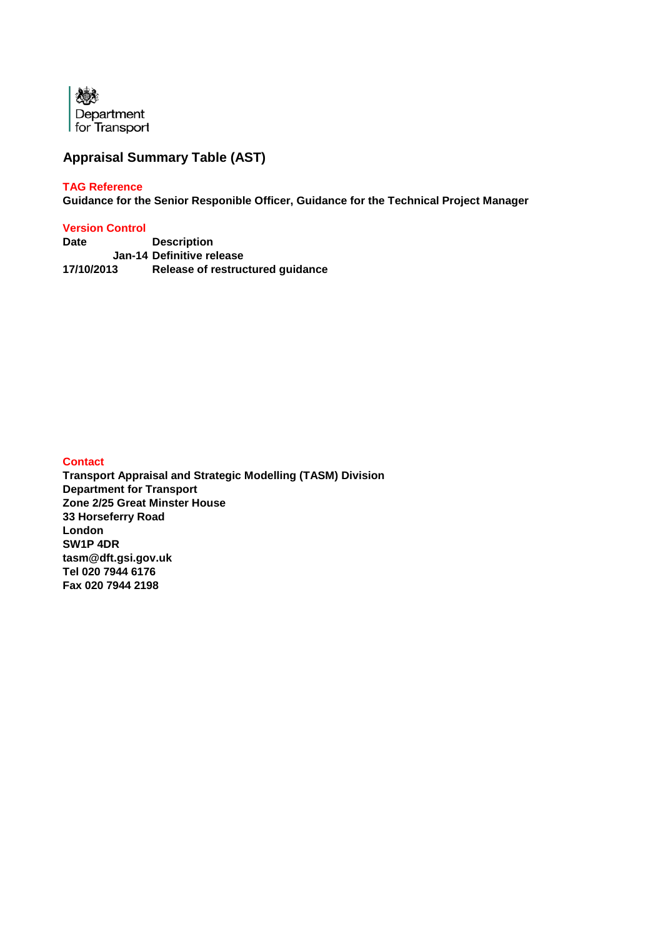

## **Appraisal Summary Table (AST)**

## **TAG Reference**

**Guidance for the Senior Responible Officer, Guidance for the Technical Project Manager**

## **Version Control**

**Description Jan-14 Definitive release**<br>Release of restrucner 17/10/2013 **17/10/2013 Release of restructured guidance**

**Contact Transport Appraisal and Strategic Modelling (TASM) Division Department for Transport Zone 2/25 Great Minster House 33 Horseferry Road London SW1P 4DR tasm@dft.gsi.gov.uk Tel 020 7944 6176 Fax 020 7944 2198**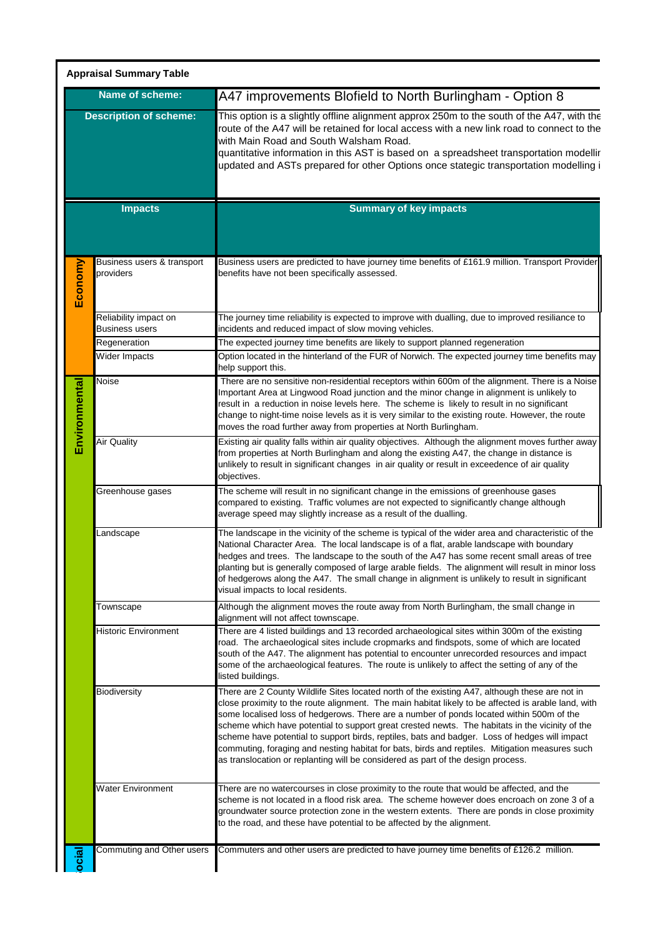|                                                  | <b>Appraisal Summary Table</b>          |                                                                                                                                                                                                                                                                                                                                                                                                                                                                                                                                                                                                                                                                                             |  |  |  |  |  |  |
|--------------------------------------------------|-----------------------------------------|---------------------------------------------------------------------------------------------------------------------------------------------------------------------------------------------------------------------------------------------------------------------------------------------------------------------------------------------------------------------------------------------------------------------------------------------------------------------------------------------------------------------------------------------------------------------------------------------------------------------------------------------------------------------------------------------|--|--|--|--|--|--|
| Name of scheme:<br><b>Description of scheme:</b> |                                         | A47 improvements Blofield to North Burlingham - Option 8                                                                                                                                                                                                                                                                                                                                                                                                                                                                                                                                                                                                                                    |  |  |  |  |  |  |
|                                                  |                                         | This option is a slightly offline alignment approx 250m to the south of the A47, with the<br>route of the A47 will be retained for local access with a new link road to connect to the<br>with Main Road and South Walsham Road.<br>quantitative information in this AST is based on a spreadsheet transportation modellir<br>updated and ASTs prepared for other Options once stategic transportation modelling i                                                                                                                                                                                                                                                                          |  |  |  |  |  |  |
|                                                  | <b>Impacts</b>                          | <b>Summary of key impacts</b>                                                                                                                                                                                                                                                                                                                                                                                                                                                                                                                                                                                                                                                               |  |  |  |  |  |  |
|                                                  |                                         |                                                                                                                                                                                                                                                                                                                                                                                                                                                                                                                                                                                                                                                                                             |  |  |  |  |  |  |
| Economy                                          | Business users & transport<br>providers | Business users are predicted to have journey time benefits of £161.9 million. Transport Provider<br>benefits have not been specifically assessed.                                                                                                                                                                                                                                                                                                                                                                                                                                                                                                                                           |  |  |  |  |  |  |
|                                                  | Reliability impact on<br>Business users | The journey time reliability is expected to improve with dualling, due to improved resiliance to<br>incidents and reduced impact of slow moving vehicles.                                                                                                                                                                                                                                                                                                                                                                                                                                                                                                                                   |  |  |  |  |  |  |
|                                                  | Regeneration                            | The expected journey time benefits are likely to support planned regeneration                                                                                                                                                                                                                                                                                                                                                                                                                                                                                                                                                                                                               |  |  |  |  |  |  |
|                                                  | Wider Impacts                           | Option located in the hinterland of the FUR of Norwich. The expected journey time benefits may<br>help support this.                                                                                                                                                                                                                                                                                                                                                                                                                                                                                                                                                                        |  |  |  |  |  |  |
| Environmental                                    | Noise                                   | There are no sensitive non-residential receptors within 600m of the alignment. There is a Noise<br>Important Area at Lingwood Road junction and the minor change in alignment is unlikely to<br>result in a reduction in noise levels here. The scheme is likely to result in no significant<br>change to night-time noise levels as it is very similar to the existing route. However, the route<br>moves the road further away from properties at North Burlingham.                                                                                                                                                                                                                       |  |  |  |  |  |  |
|                                                  | <b>Air Quality</b>                      | Existing air quality falls within air quality objectives. Although the alignment moves further away<br>from properties at North Burlingham and along the existing A47, the change in distance is<br>unlikely to result in significant changes in air quality or result in exceedence of air quality<br>objectives.                                                                                                                                                                                                                                                                                                                                                                          |  |  |  |  |  |  |
|                                                  | Greenhouse gases                        | The scheme will result in no significant change in the emissions of greenhouse gases<br>compared to existing. Traffic volumes are not expected to significantly change although<br>average speed may slightly increase as a result of the dualling.                                                                                                                                                                                                                                                                                                                                                                                                                                         |  |  |  |  |  |  |
|                                                  | Landscape                               | The landscape in the vicinity of the scheme is typical of the wider area and characteristic of the<br>National Character Area. The local landscape is of a flat, arable landscape with boundary<br>hedges and trees. The landscape to the south of the A47 has some recent small areas of tree<br>planting but is generally composed of large arable fields. The alignment will result in minor loss<br>of hedgerows along the A47. The small change in alignment is unlikely to result in significant<br>visual impacts to local residents.                                                                                                                                                |  |  |  |  |  |  |
|                                                  | Townscape                               | Although the alignment moves the route away from North Burlingham, the small change in<br>alignment will not affect townscape.                                                                                                                                                                                                                                                                                                                                                                                                                                                                                                                                                              |  |  |  |  |  |  |
|                                                  | <b>Historic Environment</b>             | There are 4 listed buildings and 13 recorded archaeological sites within 300m of the existing<br>road. The archaeological sites include cropmarks and findspots, some of which are located<br>south of the A47. The alignment has potential to encounter unrecorded resources and impact<br>some of the archaeological features. The route is unlikely to affect the setting of any of the<br>listed buildings.                                                                                                                                                                                                                                                                             |  |  |  |  |  |  |
|                                                  | Biodiversity                            | There are 2 County Wildlife Sites located north of the existing A47, although these are not in<br>close proximity to the route alignment. The main habitat likely to be affected is arable land, with<br>some localised loss of hedgerows. There are a number of ponds located within 500m of the<br>scheme which have potential to support great crested newts. The habitats in the vicinity of the<br>scheme have potential to support birds, reptiles, bats and badger. Loss of hedges will impact<br>commuting, foraging and nesting habitat for bats, birds and reptiles. Mitigation measures such<br>as translocation or replanting will be considered as part of the design process. |  |  |  |  |  |  |
|                                                  | <b>Water Environment</b>                | There are no watercourses in close proximity to the route that would be affected, and the<br>scheme is not located in a flood risk area. The scheme however does encroach on zone 3 of a<br>groundwater source protection zone in the western extents. There are ponds in close proximity<br>to the road, and these have potential to be affected by the alignment.                                                                                                                                                                                                                                                                                                                         |  |  |  |  |  |  |
| ocial                                            | Commuting and Other users               | Commuters and other users are predicted to have journey time benefits of £126.2 million.                                                                                                                                                                                                                                                                                                                                                                                                                                                                                                                                                                                                    |  |  |  |  |  |  |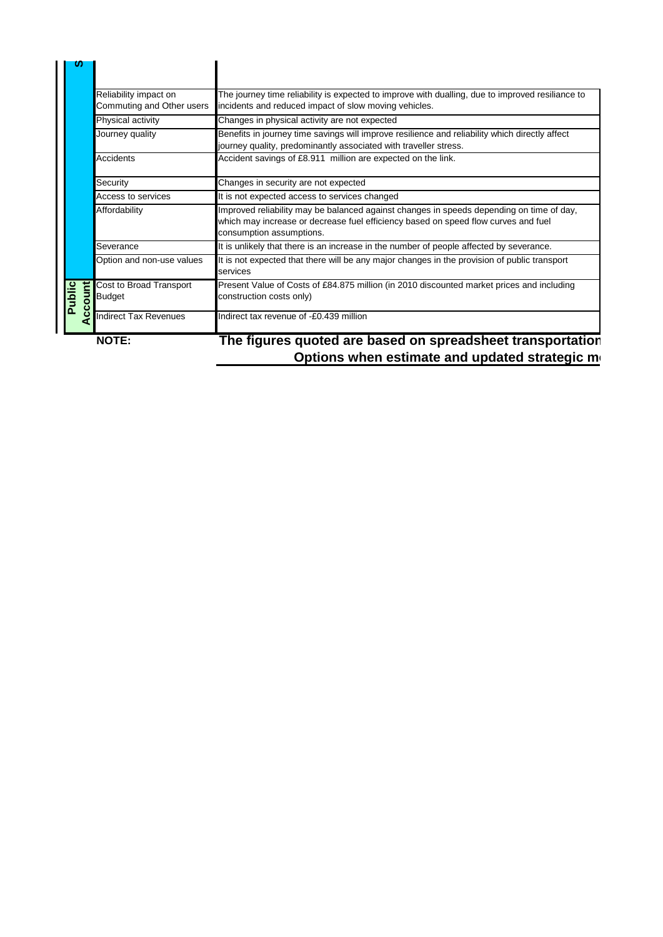| Cost to Broad Transport<br>Budget                  | Present Value of Costs of £84.875 million (in 2010 discounted market prices and including<br>construction costs only)                                                                                      |  |  |  |  |
|----------------------------------------------------|------------------------------------------------------------------------------------------------------------------------------------------------------------------------------------------------------------|--|--|--|--|
|                                                    |                                                                                                                                                                                                            |  |  |  |  |
| Option and non-use values                          | It is not expected that there will be any major changes in the provision of public transport<br>services                                                                                                   |  |  |  |  |
| Severance                                          | It is unlikely that there is an increase in the number of people affected by severance.                                                                                                                    |  |  |  |  |
| Affordability                                      | Improved reliability may be balanced against changes in speeds depending on time of day,<br>which may increase or decrease fuel efficiency based on speed flow curves and fuel<br>consumption assumptions. |  |  |  |  |
| Access to services                                 | It is not expected access to services changed                                                                                                                                                              |  |  |  |  |
| Security                                           | Changes in security are not expected                                                                                                                                                                       |  |  |  |  |
| <b>Accidents</b>                                   | Accident savings of £8.911 million are expected on the link.                                                                                                                                               |  |  |  |  |
|                                                    | Benefits in journey time savings will improve resilience and reliability which directly affect<br>journey quality, predominantly associated with traveller stress.                                         |  |  |  |  |
| Physical activity                                  | Changes in physical activity are not expected                                                                                                                                                              |  |  |  |  |
| Reliability impact on<br>Commuting and Other users | The journey time reliability is expected to improve with dualling, due to improved resiliance to<br>incidents and reduced impact of slow moving vehicles.                                                  |  |  |  |  |
|                                                    | Journey quality                                                                                                                                                                                            |  |  |  |  |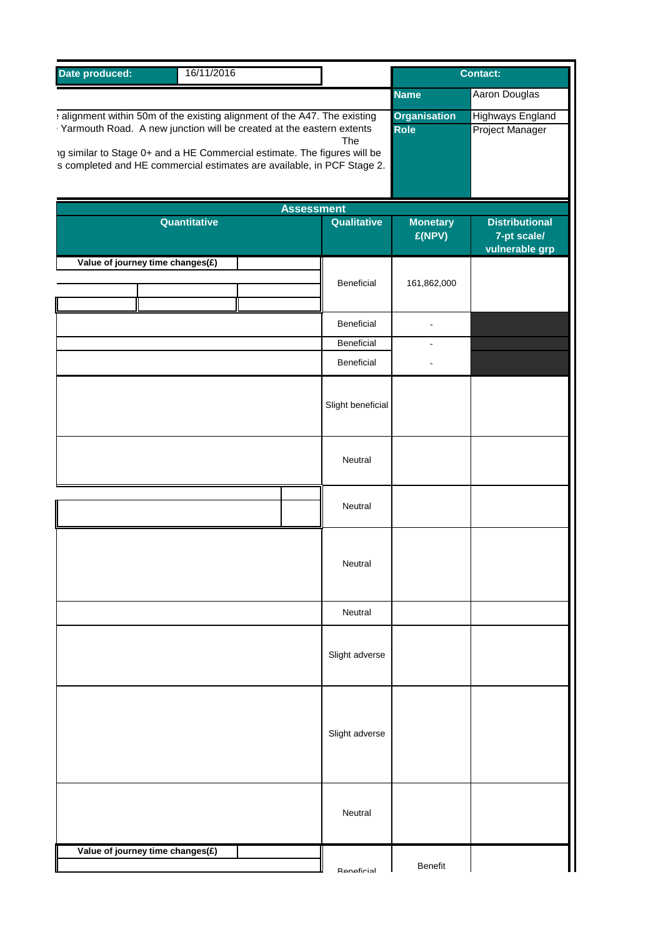| Date produced:                                                                                                                                                                                                                                                                                        | 16/11/2016   |                                    |                                                   |                           | <b>Contact:</b>                                        |
|-------------------------------------------------------------------------------------------------------------------------------------------------------------------------------------------------------------------------------------------------------------------------------------------------------|--------------|------------------------------------|---------------------------------------------------|---------------------------|--------------------------------------------------------|
|                                                                                                                                                                                                                                                                                                       |              |                                    |                                                   | <b>Name</b>               | Aaron Douglas                                          |
| alignment within 50m of the existing alignment of the A47. The existing<br>Yarmouth Road. A new junction will be created at the eastern extents<br>1g similar to Stage 0+ and a HE Commercial estimate. The figures will be<br>s completed and HE commercial estimates are available, in PCF Stage 2. |              | <b>Organisation</b><br><b>Role</b> | <b>Highways England</b><br><b>Project Manager</b> |                           |                                                        |
|                                                                                                                                                                                                                                                                                                       |              | <b>Assessment</b>                  |                                                   |                           |                                                        |
|                                                                                                                                                                                                                                                                                                       | Quantitative |                                    | Qualitative                                       | <b>Monetary</b><br>E(NPV) | <b>Distributional</b><br>7-pt scale/<br>vulnerable grp |
| Value of journey time changes(£)                                                                                                                                                                                                                                                                      |              |                                    |                                                   |                           |                                                        |
|                                                                                                                                                                                                                                                                                                       |              |                                    | Beneficial                                        | 161,862,000               |                                                        |
|                                                                                                                                                                                                                                                                                                       |              |                                    |                                                   |                           |                                                        |
|                                                                                                                                                                                                                                                                                                       |              |                                    | Beneficial                                        | $\sim$                    |                                                        |
|                                                                                                                                                                                                                                                                                                       |              |                                    | Beneficial                                        | $\sim$                    |                                                        |
|                                                                                                                                                                                                                                                                                                       |              |                                    | Beneficial                                        |                           |                                                        |
|                                                                                                                                                                                                                                                                                                       |              |                                    | Slight beneficial                                 |                           |                                                        |
|                                                                                                                                                                                                                                                                                                       |              |                                    |                                                   |                           |                                                        |
|                                                                                                                                                                                                                                                                                                       |              |                                    | Neutral                                           |                           |                                                        |
|                                                                                                                                                                                                                                                                                                       |              |                                    | Neutral                                           |                           |                                                        |
|                                                                                                                                                                                                                                                                                                       |              |                                    | Neutral                                           |                           |                                                        |
|                                                                                                                                                                                                                                                                                                       |              |                                    | Neutral                                           |                           |                                                        |
|                                                                                                                                                                                                                                                                                                       |              |                                    | Slight adverse                                    |                           |                                                        |
|                                                                                                                                                                                                                                                                                                       |              |                                    | Slight adverse                                    |                           |                                                        |
|                                                                                                                                                                                                                                                                                                       |              |                                    | Neutral                                           |                           |                                                        |
| Value of journey time changes(£)                                                                                                                                                                                                                                                                      |              |                                    | Ronoficial                                        | Benefit                   |                                                        |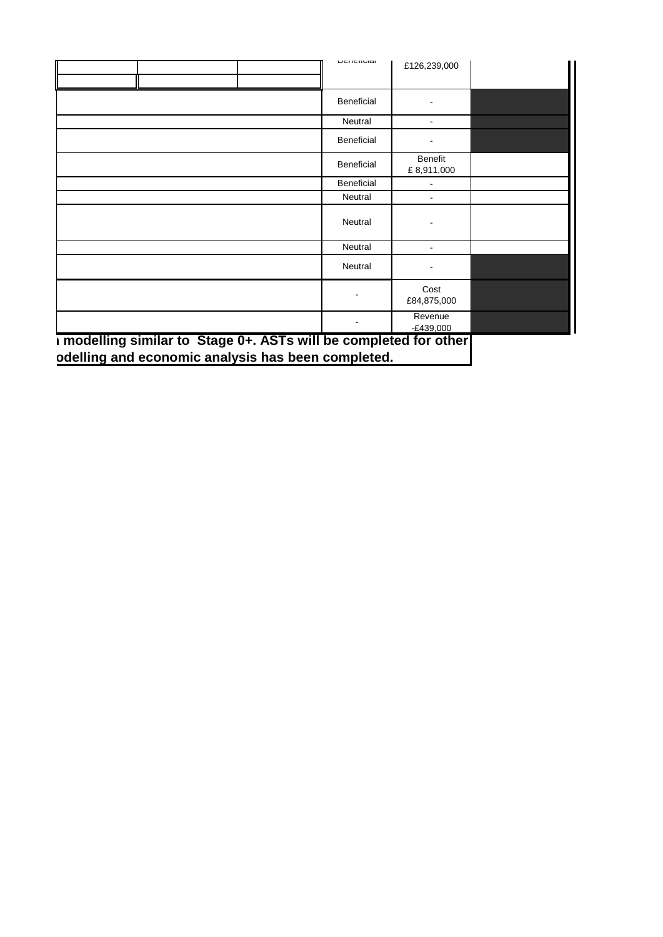|  |  | DONONCIA                                           | £126,239,000                                                      |  |
|--|--|----------------------------------------------------|-------------------------------------------------------------------|--|
|  |  | Beneficial                                         | $\blacksquare$                                                    |  |
|  |  | Neutral                                            | $\blacksquare$                                                    |  |
|  |  | Beneficial                                         | $\blacksquare$                                                    |  |
|  |  | Beneficial                                         | Benefit<br>£8,911,000                                             |  |
|  |  | Beneficial                                         | $\blacksquare$                                                    |  |
|  |  | Neutral                                            | $\overline{\phantom{a}}$                                          |  |
|  |  | Neutral                                            |                                                                   |  |
|  |  | Neutral                                            | $\blacksquare$                                                    |  |
|  |  | Neutral                                            |                                                                   |  |
|  |  |                                                    | Cost<br>£84,875,000                                               |  |
|  |  |                                                    | Revenue<br>$-E439,000$                                            |  |
|  |  | odelling and economic analysis has been completed. | I modelling similar to Stage 0+. ASTs will be completed for other |  |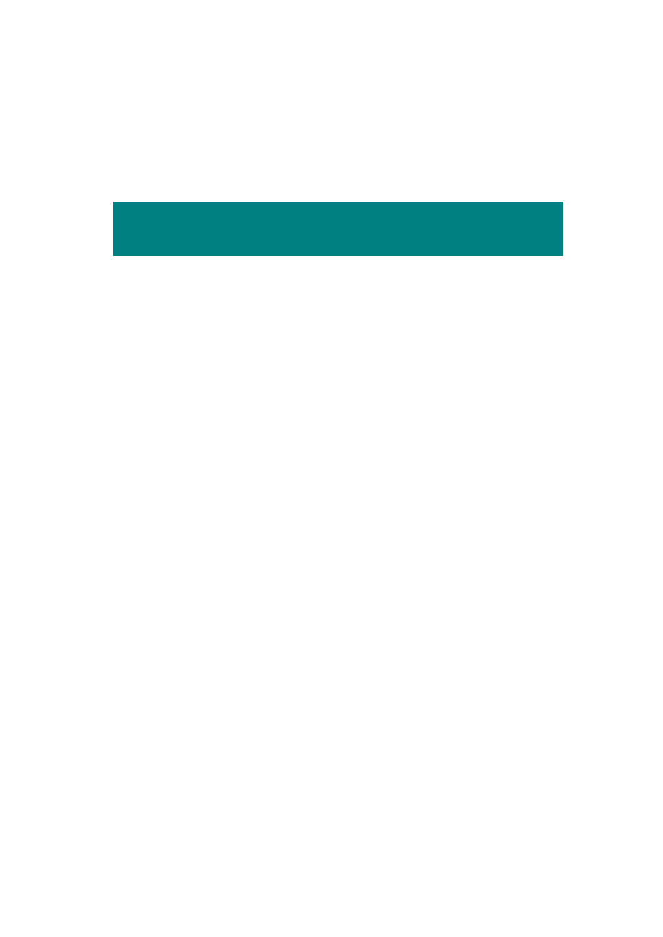